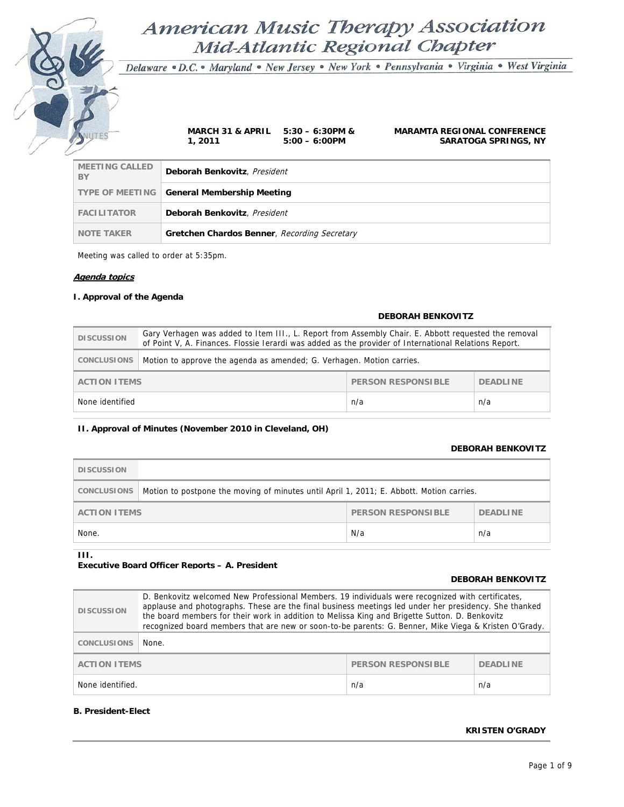# American Music Therapy Association Mid-Atlantic Regional Chapter

Delaware · D.C. · Maryland · New Jersey · New York · Pennsylvania · Virginia · West Virginia

**1, 2011** 

MINUTES **MARCH 31 & APRIL 5:30 – 6:30PM & 5:00 – 6:00PM** 

**MARAMTA REGIONAL CONFERENCE SARATOGA SPRINGS, NY**

| <b>MEETING CALLED</b><br>BY | Deborah Benkovitz, President                      |
|-----------------------------|---------------------------------------------------|
|                             | <b>TYPE OF MEETING General Membership Meeting</b> |
| <b>FACILITATOR</b>          | Deborah Benkovitz, President                      |
| <b>NOTE TAKER</b>           | Gretchen Chardos Benner, Recording Secretary      |

Meeting was called to order at 5:35pm.

### **Agenda topics**

### **I. Approval of the Agenda**

# **DEBORAH BENKOVITZ DISCUSSION** Gary Verhagen was added to Item III., L. Report from Assembly Chair. E. Abbott requested the removal of Point V, A. Finances. Flossie Ierardi was added as the provider of International Relations Report. **CONCLUSIONS** Motion to approve the agenda as amended; G. Verhagen. Motion carries. **ACTION ITEMS PERSON RESPONSIBLE PERSON RESPONSIBLE PERSON RESPONSIBLE** None identified n/a n/a

### **II. Approval of Minutes (November 2010 in Cleveland, OH)**

### **DEBORAH BENKOVITZ**

| <b>DISCUSSION</b>   |                                                                                          |                           |                 |
|---------------------|------------------------------------------------------------------------------------------|---------------------------|-----------------|
| CONCLUSIONS         | Motion to postpone the moving of minutes until April 1, 2011; E. Abbott. Motion carries. |                           |                 |
| <b>ACTION ITEMS</b> |                                                                                          | <b>PERSON RESPONSIBLE</b> | <b>DEADLINE</b> |
| None.               |                                                                                          | N/a                       | n/a             |

**III.** 

## **Executive Board Officer Reports – A. President**

### **DEBORAH BENKOVITZ**

| <b>DISCUSSION</b>   | D. Benkovitz welcomed New Professional Members. 19 individuals were recognized with certificates,<br>applause and photographs. These are the final business meetings led under her presidency. She thanked<br>the board members for their work in addition to Melissa King and Brigette Sutton. D. Benkovitz<br>recognized board members that are new or soon-to-be parents: G. Benner, Mike Viega & Kristen O'Grady. |                           |                 |
|---------------------|-----------------------------------------------------------------------------------------------------------------------------------------------------------------------------------------------------------------------------------------------------------------------------------------------------------------------------------------------------------------------------------------------------------------------|---------------------------|-----------------|
| <b>CONCLUSIONS</b>  | None.                                                                                                                                                                                                                                                                                                                                                                                                                 |                           |                 |
| <b>ACTION ITEMS</b> |                                                                                                                                                                                                                                                                                                                                                                                                                       | <b>PERSON RESPONSIBLE</b> | <b>DEADLINE</b> |
| None identified.    |                                                                                                                                                                                                                                                                                                                                                                                                                       | n/a                       | n/a             |

### **B. President-Elect**

## **KRISTEN O'GRADY**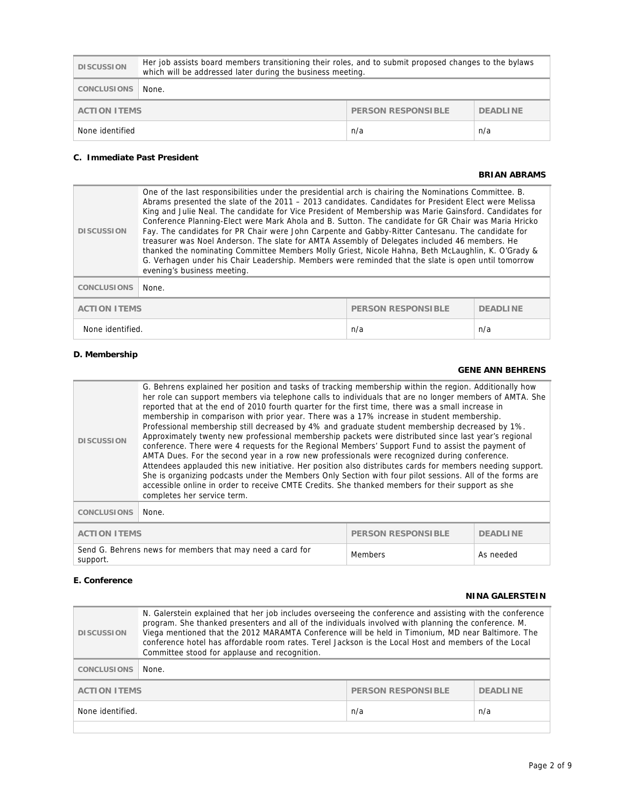| <b>DISCUSSION</b>                                            | Her job assists board members transitioning their roles, and to submit proposed changes to the bylaws<br>which will be addressed later during the business meeting. |  |
|--------------------------------------------------------------|---------------------------------------------------------------------------------------------------------------------------------------------------------------------|--|
| CONCLUSIONS                                                  | None.                                                                                                                                                               |  |
| PERSON RESPONSIBLE<br><b>DEADLINE</b><br><b>ACTION ITEMS</b> |                                                                                                                                                                     |  |
| None identified<br>n/a<br>n/a                                |                                                                                                                                                                     |  |

## **C. Immediate Past President**

### **BRIAN ABRAMS**

| <b>DISCUSSION</b>                                | One of the last responsibilities under the presidential arch is chairing the Nominations Committee. B.<br>Abrams presented the slate of the 2011 - 2013 candidates. Candidates for President Elect were Melissa<br>King and Julie Neal. The candidate for Vice President of Membership was Marie Gainsford. Candidates for<br>Conference Planning-Elect were Mark Ahola and B. Sutton. The candidate for GR Chair was Maria Hricko<br>Fay. The candidates for PR Chair were John Carpente and Gabby-Ritter Cantesanu. The candidate for<br>treasurer was Noel Anderson. The slate for AMTA Assembly of Delegates included 46 members. He<br>thanked the nominating Committee Members Molly Griest, Nicole Hahna, Beth McLaughlin, K. O'Grady &<br>G. Verhagen under his Chair Leadership. Members were reminded that the slate is open until tomorrow<br>evening's business meeting. |                 |     |
|--------------------------------------------------|--------------------------------------------------------------------------------------------------------------------------------------------------------------------------------------------------------------------------------------------------------------------------------------------------------------------------------------------------------------------------------------------------------------------------------------------------------------------------------------------------------------------------------------------------------------------------------------------------------------------------------------------------------------------------------------------------------------------------------------------------------------------------------------------------------------------------------------------------------------------------------------|-----------------|-----|
| <b>CONCLUSIONS</b>                               | None.                                                                                                                                                                                                                                                                                                                                                                                                                                                                                                                                                                                                                                                                                                                                                                                                                                                                                |                 |     |
| <b>ACTION ITEMS</b><br><b>PERSON RESPONSIBLE</b> |                                                                                                                                                                                                                                                                                                                                                                                                                                                                                                                                                                                                                                                                                                                                                                                                                                                                                      | <b>DEADLINE</b> |     |
| None identified.                                 |                                                                                                                                                                                                                                                                                                                                                                                                                                                                                                                                                                                                                                                                                                                                                                                                                                                                                      | n/a             | n/a |

## **D. Membership**

## **GENE ANN BEHRENS**

| <b>DISCUSSION</b>                                                     | G. Behrens explained her position and tasks of tracking membership within the region. Additionally how<br>her role can support members via telephone calls to individuals that are no longer members of AMTA. She<br>reported that at the end of 2010 fourth quarter for the first time, there was a small increase in<br>membership in comparison with prior year. There was a 17% increase in student membership.<br>Professional membership still decreased by 4% and graduate student membership decreased by 1%.<br>Approximately twenty new professional membership packets were distributed since last year's regional<br>conference. There were 4 requests for the Regional Members' Support Fund to assist the payment of<br>AMTA Dues. For the second year in a row new professionals were recognized during conference.<br>Attendees applauded this new initiative. Her position also distributes cards for members needing support.<br>She is organizing podcasts under the Members Only Section with four pilot sessions. All of the forms are<br>accessible online in order to receive CMTE Credits. She thanked members for their support as she<br>completes her service term. |                           |                 |
|-----------------------------------------------------------------------|------------------------------------------------------------------------------------------------------------------------------------------------------------------------------------------------------------------------------------------------------------------------------------------------------------------------------------------------------------------------------------------------------------------------------------------------------------------------------------------------------------------------------------------------------------------------------------------------------------------------------------------------------------------------------------------------------------------------------------------------------------------------------------------------------------------------------------------------------------------------------------------------------------------------------------------------------------------------------------------------------------------------------------------------------------------------------------------------------------------------------------------------------------------------------------------------|---------------------------|-----------------|
| <b>CONCLUSIONS</b>                                                    | None.                                                                                                                                                                                                                                                                                                                                                                                                                                                                                                                                                                                                                                                                                                                                                                                                                                                                                                                                                                                                                                                                                                                                                                                          |                           |                 |
| <b>ACTION ITEMS</b>                                                   |                                                                                                                                                                                                                                                                                                                                                                                                                                                                                                                                                                                                                                                                                                                                                                                                                                                                                                                                                                                                                                                                                                                                                                                                | <b>PERSON RESPONSIBLE</b> | <b>DEADLINE</b> |
| Send G. Behrens news for members that may need a card for<br>support. |                                                                                                                                                                                                                                                                                                                                                                                                                                                                                                                                                                                                                                                                                                                                                                                                                                                                                                                                                                                                                                                                                                                                                                                                | <b>Members</b>            | As needed       |

## **E. Conference**

## **NINA GALERSTEIN**

| <b>DISCUSSION</b>                         | N. Galerstein explained that her job includes overseeing the conference and assisting with the conference<br>program. She thanked presenters and all of the individuals involved with planning the conference. M.<br>Viega mentioned that the 2012 MARAMTA Conference will be held in Timonium, MD near Baltimore. The<br>conference hotel has affordable room rates. Terel Jackson is the Local Host and members of the Local<br>Committee stood for applause and recognition. |                 |
|-------------------------------------------|---------------------------------------------------------------------------------------------------------------------------------------------------------------------------------------------------------------------------------------------------------------------------------------------------------------------------------------------------------------------------------------------------------------------------------------------------------------------------------|-----------------|
| <b>CONCLUSIONS</b>                        | None.                                                                                                                                                                                                                                                                                                                                                                                                                                                                           |                 |
| PERSON RESPONSIBLE<br><b>ACTION ITEMS</b> |                                                                                                                                                                                                                                                                                                                                                                                                                                                                                 | <b>DEADLINE</b> |
| None identified.<br>n/a<br>n/a            |                                                                                                                                                                                                                                                                                                                                                                                                                                                                                 |                 |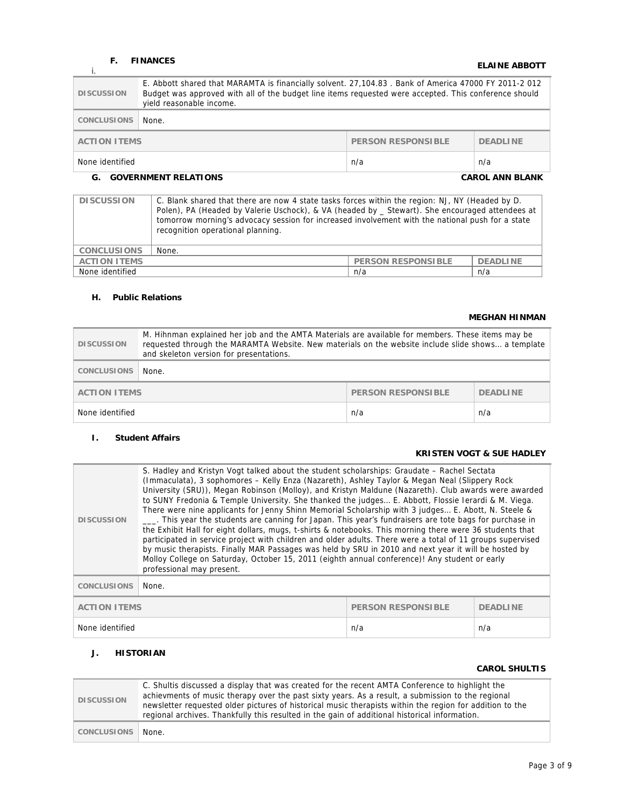## **F. FINANCES**

## **i.** FINANCES **ELAINE ABBOTT**

| <b>DISCUSSION</b>                                                   | E. Abbott shared that MARAMTA is financially solvent. 27, 104.83. Bank of America 47000 FY 2011-2 012<br>Budget was approved with all of the budget line items requested were accepted. This conference should<br>yield reasonable income. |  |  |
|---------------------------------------------------------------------|--------------------------------------------------------------------------------------------------------------------------------------------------------------------------------------------------------------------------------------------|--|--|
| <b>CONCLUSIONS</b>                                                  | None.                                                                                                                                                                                                                                      |  |  |
| <b>PERSON RESPONSIBLE</b><br><b>ACTION ITEMS</b><br><b>DEADLINE</b> |                                                                                                                                                                                                                                            |  |  |
| None identified<br>n/a<br>n/a                                       |                                                                                                                                                                                                                                            |  |  |
| <b>GOVERNMENT RELATIONS</b><br><b>CAROL ANN BLANK</b><br>G.         |                                                                                                                                                                                                                                            |  |  |

| <b>DISCUSSION</b>   | C. Blank shared that there are now 4 state tasks forces within the region: NJ, NY (Headed by D.<br>Polen), PA (Headed by Valerie Uschock), & VA (headed by _ Stewart). She encouraged attendees at<br>tomorrow morning's advocacy session for increased involvement with the national push for a state<br>recognition operational planning. |                           |                 |
|---------------------|---------------------------------------------------------------------------------------------------------------------------------------------------------------------------------------------------------------------------------------------------------------------------------------------------------------------------------------------|---------------------------|-----------------|
| <b>CONCLUSIONS</b>  | None.                                                                                                                                                                                                                                                                                                                                       |                           |                 |
| <b>ACTION ITEMS</b> |                                                                                                                                                                                                                                                                                                                                             | <b>PERSON RESPONSIBLE</b> | <b>DEADLINE</b> |
| None identified     | n/a<br>n/a                                                                                                                                                                                                                                                                                                                                  |                           |                 |

## **H. Public Relations**

## **MEGHAN HINMAN**

| <b>DISCUSSION</b>   | M. Hihnman explained her job and the AMTA Materials are available for members. These items may be<br>requested through the MARAMTA Website. New materials on the website include slide shows a template<br>and skeleton version for presentations. |                    |                 |
|---------------------|----------------------------------------------------------------------------------------------------------------------------------------------------------------------------------------------------------------------------------------------------|--------------------|-----------------|
| <b>CONCLUSIONS</b>  | None.                                                                                                                                                                                                                                              |                    |                 |
| <b>ACTION ITEMS</b> |                                                                                                                                                                                                                                                    | PERSON RESPONSIBLE | <b>DEADLINE</b> |
| None identified     |                                                                                                                                                                                                                                                    | n/a                | n/a             |

## **I. Student Affairs**

## **KRISTEN VOGT & SUE HADLEY**

| <b>DISCUSSION</b>      | S. Hadley and Kristyn Vogt talked about the student scholarships: Graudate – Rachel Sectata<br>(Immaculata), 3 sophomores - Kelly Enza (Nazareth), Ashley Taylor & Megan Neal (Slippery Rock<br>University (SRU)), Megan Robinson (Molloy), and Kristyn Maldune (Nazareth). Club awards were awarded<br>to SUNY Fredonia & Temple University. She thanked the judges E. Abbott, Flossie Ierardi & M. Viega.<br>There were nine applicants for Jenny Shinn Memorial Scholarship with 3 judges E. Abott, N. Steele &<br>___. This year the students are canning for Japan. This year's fundraisers are tote bags for purchase in<br>the Exhibit Hall for eight dollars, mugs, t-shirts & notebooks. This morning there were 36 students that<br>participated in service project with children and older adults. There were a total of 11 groups supervised<br>by music therapists. Finally MAR Passages was held by SRU in 2010 and next year it will be hosted by<br>Molloy College on Saturday, October 15, 2011 (eighth annual conference)! Any student or early<br>professional may present. |                           |                 |
|------------------------|------------------------------------------------------------------------------------------------------------------------------------------------------------------------------------------------------------------------------------------------------------------------------------------------------------------------------------------------------------------------------------------------------------------------------------------------------------------------------------------------------------------------------------------------------------------------------------------------------------------------------------------------------------------------------------------------------------------------------------------------------------------------------------------------------------------------------------------------------------------------------------------------------------------------------------------------------------------------------------------------------------------------------------------------------------------------------------------------|---------------------------|-----------------|
| <b>CONCLUSIONS</b>     | None.                                                                                                                                                                                                                                                                                                                                                                                                                                                                                                                                                                                                                                                                                                                                                                                                                                                                                                                                                                                                                                                                                          |                           |                 |
| <b>ACTION ITEMS</b>    |                                                                                                                                                                                                                                                                                                                                                                                                                                                                                                                                                                                                                                                                                                                                                                                                                                                                                                                                                                                                                                                                                                | <b>PERSON RESPONSIBLE</b> | <b>DEADLINE</b> |
| None identified<br>n/a |                                                                                                                                                                                                                                                                                                                                                                                                                                                                                                                                                                                                                                                                                                                                                                                                                                                                                                                                                                                                                                                                                                |                           | n/a             |

## **J. HISTORIAN**

## **CAROL SHULTIS**

| <b>DISCUSSION</b> | C. Shultis discussed a display that was created for the recent AMTA Conference to highlight the<br>achievments of music therapy over the past sixty years. As a result, a submission to the regional<br>newsletter requested older pictures of historical music therapists within the region for addition to the<br>regional archives. Thankfully this resulted in the gain of additional historical information. |
|-------------------|-------------------------------------------------------------------------------------------------------------------------------------------------------------------------------------------------------------------------------------------------------------------------------------------------------------------------------------------------------------------------------------------------------------------|
| CONCLUSIONS       | None.                                                                                                                                                                                                                                                                                                                                                                                                             |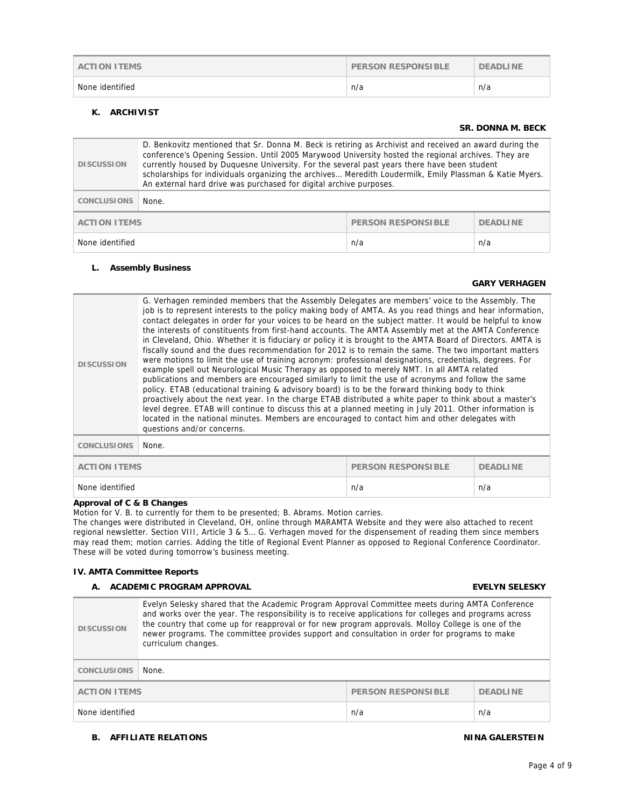| <b>ACTION ITEMS</b> | <b>PERSON RESPONSIBLE</b> | <b>DEADLINE</b> |
|---------------------|---------------------------|-----------------|
| None identified     | n/a                       | n/a             |

## **K. ARCHIVIST**

### **SR. DONNA M. BECK**

| <b>DISCUSSION</b>                                                   | D. Benkovitz mentioned that Sr. Donna M. Beck is retiring as Archivist and received an award during the<br>conference's Opening Session. Until 2005 Marywood University hosted the regional archives. They are<br>currently housed by Duquesne University. For the several past years there have been student<br>scholarships for individuals organizing the archives Meredith Loudermilk, Emily Plassman & Katie Myers.<br>An external hard drive was purchased for digital archive purposes. |  |  |
|---------------------------------------------------------------------|------------------------------------------------------------------------------------------------------------------------------------------------------------------------------------------------------------------------------------------------------------------------------------------------------------------------------------------------------------------------------------------------------------------------------------------------------------------------------------------------|--|--|
| <b>CONCLUSIONS</b>                                                  | None.                                                                                                                                                                                                                                                                                                                                                                                                                                                                                          |  |  |
| <b>ACTION ITEMS</b><br><b>PERSON RESPONSIBLE</b><br><b>DEADLINE</b> |                                                                                                                                                                                                                                                                                                                                                                                                                                                                                                |  |  |
| None identified<br>n/a<br>n/a                                       |                                                                                                                                                                                                                                                                                                                                                                                                                                                                                                |  |  |

### **L. Assembly Business**

## **GARY VERHAGEN**

| <b>DISCUSSION</b>                                                   | G. Verhagen reminded members that the Assembly Delegates are members' voice to the Assembly. The<br>job is to represent interests to the policy making body of AMTA. As you read things and hear information,<br>contact delegates in order for your voices to be heard on the subject matter. It would be helpful to know<br>the interests of constituents from first-hand accounts. The AMTA Assembly met at the AMTA Conference<br>in Cleveland, Ohio. Whether it is fiduciary or policy it is brought to the AMTA Board of Directors. AMTA is<br>fiscally sound and the dues recommendation for 2012 is to remain the same. The two important matters<br>were motions to limit the use of training acronym: professional designations, credentials, degrees. For<br>example spell out Neurological Music Therapy as opposed to merely NMT. In all AMTA related<br>publications and members are encouraged similarly to limit the use of acronyms and follow the same<br>policy. ETAB (educational training & advisory board) is to be the forward thinking body to think<br>proactively about the next year. In the charge ETAB distributed a white paper to think about a master's<br>level degree. ETAB will continue to discuss this at a planned meeting in July 2011. Other information is<br>located in the national minutes. Members are encouraged to contact him and other delegates with<br>questions and/or concerns. |  |  |
|---------------------------------------------------------------------|--------------------------------------------------------------------------------------------------------------------------------------------------------------------------------------------------------------------------------------------------------------------------------------------------------------------------------------------------------------------------------------------------------------------------------------------------------------------------------------------------------------------------------------------------------------------------------------------------------------------------------------------------------------------------------------------------------------------------------------------------------------------------------------------------------------------------------------------------------------------------------------------------------------------------------------------------------------------------------------------------------------------------------------------------------------------------------------------------------------------------------------------------------------------------------------------------------------------------------------------------------------------------------------------------------------------------------------------------------------------------------------------------------------------------------------|--|--|
| <b>CONCLUSIONS</b><br>None.                                         |                                                                                                                                                                                                                                                                                                                                                                                                                                                                                                                                                                                                                                                                                                                                                                                                                                                                                                                                                                                                                                                                                                                                                                                                                                                                                                                                                                                                                                      |  |  |
| <b>ACTION ITEMS</b><br><b>PERSON RESPONSIBLE</b><br><b>DEADLINE</b> |                                                                                                                                                                                                                                                                                                                                                                                                                                                                                                                                                                                                                                                                                                                                                                                                                                                                                                                                                                                                                                                                                                                                                                                                                                                                                                                                                                                                                                      |  |  |
| None identified                                                     | n/a<br>n/a                                                                                                                                                                                                                                                                                                                                                                                                                                                                                                                                                                                                                                                                                                                                                                                                                                                                                                                                                                                                                                                                                                                                                                                                                                                                                                                                                                                                                           |  |  |

## **Approval of C & B Changes**

Motion for V. B. to currently for them to be presented; B. Abrams. Motion carries.

The changes were distributed in Cleveland, OH, online through MARAMTA Website and they were also attached to recent regional newsletter. Section VIII, Article 3 & 5… G. Verhagen moved for the dispensement of reading them since members may read them; motion carries. Adding the title of Regional Event Planner as opposed to Regional Conference Coordinator. These will be voted during tomorrow's business meeting.

### **IV. AMTA Committee Reports**

### **A. ACADEMIC PROGRAM APPROVAL EVELYN SELESKY**

| <b>DISCUSSION</b>                                            | Evelyn Selesky shared that the Academic Program Approval Committee meets during AMTA Conference<br>and works over the year. The responsibility is to receive applications for colleges and programs across<br>the country that come up for reapproval or for new program approvals. Molloy College is one of the<br>newer programs. The committee provides support and consultation in order for programs to make<br>curriculum changes. |  |  |
|--------------------------------------------------------------|------------------------------------------------------------------------------------------------------------------------------------------------------------------------------------------------------------------------------------------------------------------------------------------------------------------------------------------------------------------------------------------------------------------------------------------|--|--|
| <b>CONCLUSIONS</b>                                           | None.                                                                                                                                                                                                                                                                                                                                                                                                                                    |  |  |
| PERSON RESPONSIBLE<br><b>ACTION ITEMS</b><br><b>DEADLINE</b> |                                                                                                                                                                                                                                                                                                                                                                                                                                          |  |  |
| None identified<br>n/a<br>n/a                                |                                                                                                                                                                                                                                                                                                                                                                                                                                          |  |  |

### **B.** AFFILIATE RELATIONS **NINA GALERSTEIN**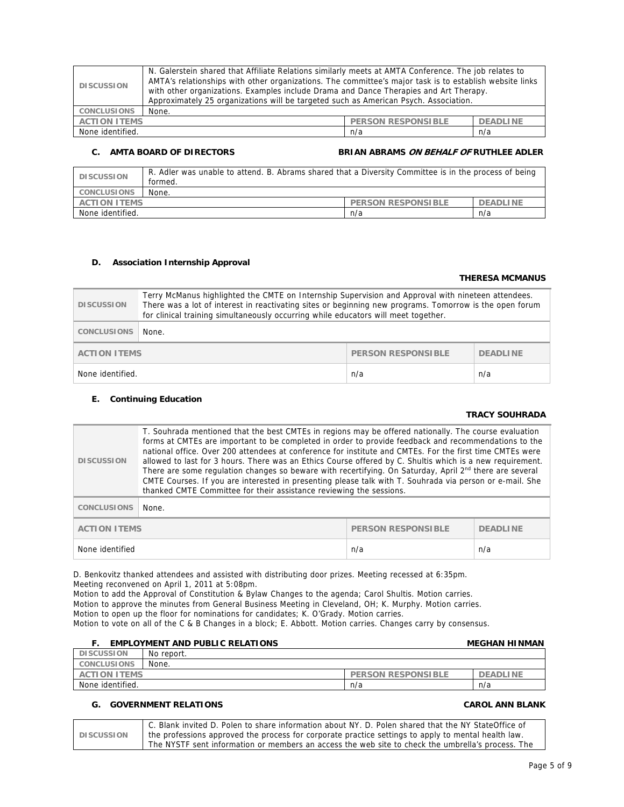| <b>DISCUSSION</b>                                                   | N. Galerstein shared that Affiliate Relations similarly meets at AMTA Conference. The job relates to<br>AMTA's relationships with other organizations. The committee's major task is to establish website links<br>with other organizations. Examples include Drama and Dance Therapies and Art Therapy.<br>Approximately 25 organizations will be targeted such as American Psych. Association. |  |  |
|---------------------------------------------------------------------|--------------------------------------------------------------------------------------------------------------------------------------------------------------------------------------------------------------------------------------------------------------------------------------------------------------------------------------------------------------------------------------------------|--|--|
| <b>CONCLUSIONS</b>                                                  | None.                                                                                                                                                                                                                                                                                                                                                                                            |  |  |
| <b>ACTION ITEMS</b><br><b>PERSON RESPONSIBLE</b><br><b>DEADLINE</b> |                                                                                                                                                                                                                                                                                                                                                                                                  |  |  |
| None identified.<br>n/a<br>n/a                                      |                                                                                                                                                                                                                                                                                                                                                                                                  |  |  |

## **C.** AMTA BOARD OF DIRECTORS BRIAN ABRAMS ON BEHALF OF RUTHLEE ADLER

| <b>DISCUSSION</b>              | R. Adler was unable to attend. B. Abrams shared that a Diversity Committee is in the process of being<br>formed. |                           |                 |
|--------------------------------|------------------------------------------------------------------------------------------------------------------|---------------------------|-----------------|
| <b>CONCLUSIONS</b>             | None.                                                                                                            |                           |                 |
| <b>ACTION ITEMS</b>            |                                                                                                                  | <b>PERSON RESPONSIBLE</b> | <b>DEADLINE</b> |
| None identified.<br>n/a<br>n/a |                                                                                                                  |                           |                 |

### **D. Association Internship Approval**

### **THERESA MCMANUS**

| <b>DISCUSSION</b>                                            | Terry McManus highlighted the CMTE on Internship Supervision and Approval with nineteen attendees.<br>There was a lot of interest in reactivating sites or beginning new programs. Tomorrow is the open forum<br>for clinical training simultaneously occurring while educators will meet together. |  |  |
|--------------------------------------------------------------|-----------------------------------------------------------------------------------------------------------------------------------------------------------------------------------------------------------------------------------------------------------------------------------------------------|--|--|
| <b>CONCLUSIONS</b>                                           | None.                                                                                                                                                                                                                                                                                               |  |  |
| PERSON RESPONSIBLE<br><b>ACTION ITEMS</b><br><b>DEADLINE</b> |                                                                                                                                                                                                                                                                                                     |  |  |
| None identified.<br>n/a<br>n/a                               |                                                                                                                                                                                                                                                                                                     |  |  |

### **E. Continuing Education**

### **TRACY SOUHRADA**

| <b>DISCUSSION</b>                                                   | T. Souhrada mentioned that the best CMTEs in regions may be offered nationally. The course evaluation<br>forms at CMTEs are important to be completed in order to provide feedback and recommendations to the<br>national office. Over 200 attendees at conference for institute and CMTEs. For the first time CMTEs were<br>allowed to last for 3 hours. There was an Ethics Course offered by C. Shultis which is a new requirement.<br>There are some regulation changes so beware with recertifying. On Saturday, April 2 <sup>nd</sup> there are several<br>CMTE Courses. If you are interested in presenting please talk with T. Souhrada via person or e-mail. She<br>thanked CMTE Committee for their assistance reviewing the sessions. |  |  |
|---------------------------------------------------------------------|--------------------------------------------------------------------------------------------------------------------------------------------------------------------------------------------------------------------------------------------------------------------------------------------------------------------------------------------------------------------------------------------------------------------------------------------------------------------------------------------------------------------------------------------------------------------------------------------------------------------------------------------------------------------------------------------------------------------------------------------------|--|--|
| <b>CONCLUSIONS</b>                                                  | None.                                                                                                                                                                                                                                                                                                                                                                                                                                                                                                                                                                                                                                                                                                                                            |  |  |
| <b>ACTION ITEMS</b><br><b>PERSON RESPONSIBLE</b><br><b>DEADLINE</b> |                                                                                                                                                                                                                                                                                                                                                                                                                                                                                                                                                                                                                                                                                                                                                  |  |  |
| None identified<br>n/a<br>n/a                                       |                                                                                                                                                                                                                                                                                                                                                                                                                                                                                                                                                                                                                                                                                                                                                  |  |  |

D. Benkovitz thanked attendees and assisted with distributing door prizes. Meeting recessed at 6:35pm. Meeting reconvened on April 1, 2011 at 5:08pm.

Motion to add the Approval of Constitution & Bylaw Changes to the agenda; Carol Shultis. Motion carries. Motion to approve the minutes from General Business Meeting in Cleveland, OH; K. Murphy. Motion carries. Motion to open up the floor for nominations for candidates; K. O'Grady. Motion carries. Motion to vote on all of the C & B Changes in a block; E. Abbott. Motion carries. Changes carry by consensus.

### **F. EMPLOYMENT AND PUBLIC RELATIONS MEGHAN HINMAN DISCUSSION No report.**

|                                                                                                    |                    | ----------<br>19 U I U U U U U |  |
|----------------------------------------------------------------------------------------------------|--------------------|--------------------------------|--|
|                                                                                                    | <b>CONCLUSIONS</b> | None.                          |  |
| <b>ITEMS</b><br><b>RESPONSIBLE</b><br><b>DEADLINE</b><br><b>PERSON</b><br>'I ON<br>AC <sup>:</sup> |                    |                                |  |
| identified.<br>None<br>n/a<br>n/a                                                                  |                    |                                |  |

## **G. GOVERNMENT RELATIONS CAROL ANN BLANK**

|                   | C. Blank invited D. Polen to share information about NY. D. Polen shared that the NY StateOffice of |
|-------------------|-----------------------------------------------------------------------------------------------------|
| <b>DISCUSSION</b> | the professions approved the process for corporate practice settings to apply to mental health law. |
|                   | The NYSTF sent information or members an access the web site to check the umbrella's process. The   |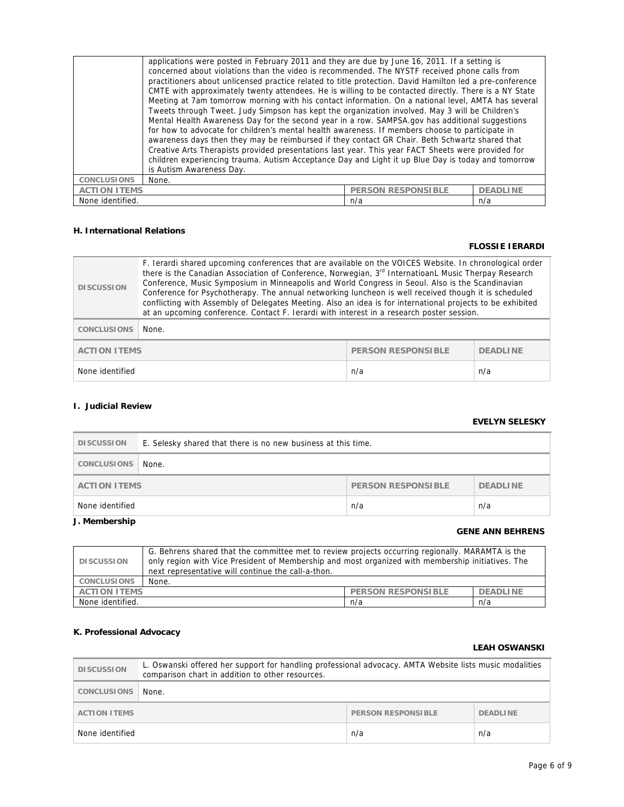|                    | concerned about violations than the video is recommended. The NYSTF received phone calls from<br>practitioners about unlicensed practice related to title protection. David Hamilton led a pre-conference<br>CMTE with approximately twenty attendees. He is willing to be contacted directly. There is a NY State<br>Meeting at 7am tomorrow morning with his contact information. On a national level, AMTA has several<br>Tweets through Tweet. Judy Simpson has kept the organization involved. May 3 will be Children's<br>Mental Health Awareness Day for the second year in a row. SAMPSA.gov has additional suggestions<br>for how to advocate for children's mental health awareness. If members choose to participate in<br>awareness days then they may be reimbursed if they contact GR Chair. Beth Schwartz shared that<br>Creative Arts Therapists provided presentations last year. This year FACT Sheets were provided for<br>children experiencing trauma. Autism Acceptance Day and Light it up Blue Day is today and tomorrow<br>is Autism Awareness Day. |  |  |
|--------------------|------------------------------------------------------------------------------------------------------------------------------------------------------------------------------------------------------------------------------------------------------------------------------------------------------------------------------------------------------------------------------------------------------------------------------------------------------------------------------------------------------------------------------------------------------------------------------------------------------------------------------------------------------------------------------------------------------------------------------------------------------------------------------------------------------------------------------------------------------------------------------------------------------------------------------------------------------------------------------------------------------------------------------------------------------------------------------|--|--|
| <b>CONCLUSIONS</b> | None.                                                                                                                                                                                                                                                                                                                                                                                                                                                                                                                                                                                                                                                                                                                                                                                                                                                                                                                                                                                                                                                                        |  |  |
|                    | <b>ACTION ITEMS</b><br><b>DEADLINE</b><br><b>PERSON RESPONSIBLE</b>                                                                                                                                                                                                                                                                                                                                                                                                                                                                                                                                                                                                                                                                                                                                                                                                                                                                                                                                                                                                          |  |  |
| None identified.   | n/a<br>n/a                                                                                                                                                                                                                                                                                                                                                                                                                                                                                                                                                                                                                                                                                                                                                                                                                                                                                                                                                                                                                                                                   |  |  |

## **H. International Relations**

## **FLOSSIE IERARDI**

| <b>DISCUSSION</b>                                                   | F. Ierardi shared upcoming conferences that are available on the VOICES Website. In chronological order<br>there is the Canadian Association of Conference, Norwegian, 3 <sup>rd</sup> InternatioanL Music Therpay Research<br>Conference, Music Symposium in Minneapolis and World Congress in Seoul. Also is the Scandinavian<br>Conference for Psychotherapy. The annual networking luncheon is well received though it is scheduled<br>conflicting with Assembly of Delegates Meeting. Also an idea is for international projects to be exhibited<br>at an upcoming conference. Contact F. Ierardi with interest in a research poster session. |  |  |
|---------------------------------------------------------------------|----------------------------------------------------------------------------------------------------------------------------------------------------------------------------------------------------------------------------------------------------------------------------------------------------------------------------------------------------------------------------------------------------------------------------------------------------------------------------------------------------------------------------------------------------------------------------------------------------------------------------------------------------|--|--|
| <b>CONCLUSIONS</b>                                                  | None.                                                                                                                                                                                                                                                                                                                                                                                                                                                                                                                                                                                                                                              |  |  |
| <b>ACTION ITEMS</b><br><b>PERSON RESPONSIBLE</b><br><b>DEADLINE</b> |                                                                                                                                                                                                                                                                                                                                                                                                                                                                                                                                                                                                                                                    |  |  |
| None identified<br>n/a<br>n/a                                       |                                                                                                                                                                                                                                                                                                                                                                                                                                                                                                                                                                                                                                                    |  |  |

## **I. Judicial Review**

## **EVELYN SELESKY**

| <b>DISCUSSION</b>                                            | E. Selesky shared that there is no new business at this time. |     |     |
|--------------------------------------------------------------|---------------------------------------------------------------|-----|-----|
| CONCLUSIONS                                                  | None.                                                         |     |     |
| PERSON RESPONSIBLE<br><b>DEADLINE</b><br><b>ACTION ITEMS</b> |                                                               |     |     |
| None identified                                              |                                                               | n/a | n/a |

## **J. Membership**

## **GENE ANN BEHRENS**

| <b>DISCUSSION</b>                                                   | G. Behrens shared that the committee met to review projects occurring regionally. MARAMTA is the<br>only region with Vice President of Membership and most organized with membership initiatives. The<br>next representative will continue the call-a-thon. |  |
|---------------------------------------------------------------------|-------------------------------------------------------------------------------------------------------------------------------------------------------------------------------------------------------------------------------------------------------------|--|
| <b>CONCLUSIONS</b>                                                  | None.                                                                                                                                                                                                                                                       |  |
| <b>ACTION ITEMS</b><br><b>PERSON RESPONSIBLE</b><br><b>DEADLINE</b> |                                                                                                                                                                                                                                                             |  |
| None identified.<br>n/a<br>n/a                                      |                                                                                                                                                                                                                                                             |  |

## **K. Professional Advocacy**

## **LEAH OSWANSKI**

| <b>DISCUSSION</b>   | L. Oswanski offered her support for handling professional advocacy. AMTA Website lists music modalities<br>comparison chart in addition to other resources. |                           |                 |
|---------------------|-------------------------------------------------------------------------------------------------------------------------------------------------------------|---------------------------|-----------------|
| CONCLUSIONS         | None.                                                                                                                                                       |                           |                 |
| <b>ACTION ITEMS</b> |                                                                                                                                                             | <b>PERSON RESPONSIBLE</b> | <b>DEADLINE</b> |
| None identified     |                                                                                                                                                             | n/a                       | n/a             |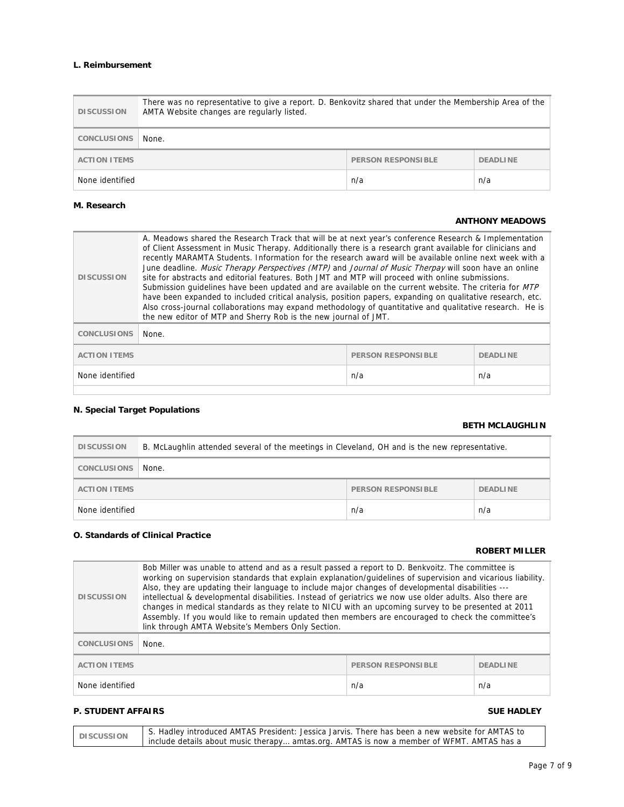## **L. Reimbursement**

| <b>DISCUSSION</b>   | There was no representative to give a report. D. Benkovitz shared that under the Membership Area of the<br>AMTA Website changes are regularly listed. |                           |                 |
|---------------------|-------------------------------------------------------------------------------------------------------------------------------------------------------|---------------------------|-----------------|
| <b>CONCLUSIONS</b>  | None.                                                                                                                                                 |                           |                 |
| <b>ACTION ITEMS</b> |                                                                                                                                                       | <b>PERSON RESPONSIBLE</b> | <b>DEADLINE</b> |
| None identified     |                                                                                                                                                       | n/a                       | n/a             |

## **M. Research**

## **ANTHONY MEADOWS**

| <b>DISCUSSION</b>                                                   | A. Meadows shared the Research Track that will be at next year's conference Research & Implementation<br>of Client Assessment in Music Therapy. Additionally there is a research grant available for clinicians and<br>recently MARAMTA Students. Information for the research award will be available online next week with a<br>June deadline. Music Therapy Perspectives (MTP) and Journal of Music Therpay will soon have an online<br>site for abstracts and editorial features. Both JMT and MTP will proceed with online submissions.<br>Submission guidelines have been updated and are available on the current website. The criteria for MTP<br>have been expanded to included critical analysis, position papers, expanding on qualitative research, etc.<br>Also cross-journal collaborations may expand methodology of quantitative and qualitative research. He is<br>the new editor of MTP and Sherry Rob is the new journal of JMT. |  |
|---------------------------------------------------------------------|-----------------------------------------------------------------------------------------------------------------------------------------------------------------------------------------------------------------------------------------------------------------------------------------------------------------------------------------------------------------------------------------------------------------------------------------------------------------------------------------------------------------------------------------------------------------------------------------------------------------------------------------------------------------------------------------------------------------------------------------------------------------------------------------------------------------------------------------------------------------------------------------------------------------------------------------------------|--|
| <b>CONCLUSIONS</b>                                                  | None.                                                                                                                                                                                                                                                                                                                                                                                                                                                                                                                                                                                                                                                                                                                                                                                                                                                                                                                                               |  |
| <b>ACTION ITEMS</b><br><b>PERSON RESPONSIBLE</b><br><b>DEADLINE</b> |                                                                                                                                                                                                                                                                                                                                                                                                                                                                                                                                                                                                                                                                                                                                                                                                                                                                                                                                                     |  |
| None identified<br>n/a<br>n/a                                       |                                                                                                                                                                                                                                                                                                                                                                                                                                                                                                                                                                                                                                                                                                                                                                                                                                                                                                                                                     |  |

## **N. Special Target Populations**

### **BETH MCLAUGHLIN**

| <b>DISCUSSION</b>   | B. McLaughlin attended several of the meetings in Cleveland, OH and is the new representative. |                           |                 |
|---------------------|------------------------------------------------------------------------------------------------|---------------------------|-----------------|
| <b>CONCLUSIONS</b>  | None.                                                                                          |                           |                 |
| <b>ACTION ITEMS</b> |                                                                                                | <b>PERSON RESPONSIBLE</b> | <b>DEADLINE</b> |
| None identified     |                                                                                                | n/a                       | n/a             |

## **O. Standards of Clinical Practice**

## **ROBERT MILLER**

| <b>DISCUSSION</b>                                | Bob Miller was unable to attend and as a result passed a report to D. Benkvoitz. The committee is<br>working on supervision standards that explain explanation/guidelines of supervision and vicarious liability.<br>Also, they are updating their language to include major changes of developmental disabilities ---<br>intellectual & developmental disabilities. Instead of geriatrics we now use older adults. Also there are<br>changes in medical standards as they relate to NICU with an upcoming survey to be presented at 2011<br>Assembly. If you would like to remain updated then members are encouraged to check the committee's<br>link through AMTA Website's Members Only Section. |                 |     |
|--------------------------------------------------|------------------------------------------------------------------------------------------------------------------------------------------------------------------------------------------------------------------------------------------------------------------------------------------------------------------------------------------------------------------------------------------------------------------------------------------------------------------------------------------------------------------------------------------------------------------------------------------------------------------------------------------------------------------------------------------------------|-----------------|-----|
| <b>CONCLUSIONS</b>                               | None.                                                                                                                                                                                                                                                                                                                                                                                                                                                                                                                                                                                                                                                                                                |                 |     |
| <b>ACTION ITEMS</b><br><b>PERSON RESPONSIBLE</b> |                                                                                                                                                                                                                                                                                                                                                                                                                                                                                                                                                                                                                                                                                                      | <b>DEADLINE</b> |     |
| None identified<br>n/a                           |                                                                                                                                                                                                                                                                                                                                                                                                                                                                                                                                                                                                                                                                                                      |                 | n/a |

## **P. STUDENT AFFAIRS** SUE HADLEY

| <b>DISCUSSION</b> | S. Hadley introduced AMTAS President: Jessica Jarvis. There has been a new website for AMTAS to |
|-------------------|-------------------------------------------------------------------------------------------------|
|                   | include details about music therapy amtas.org. AMTAS is now a member of WFMT. AMTAS has a       |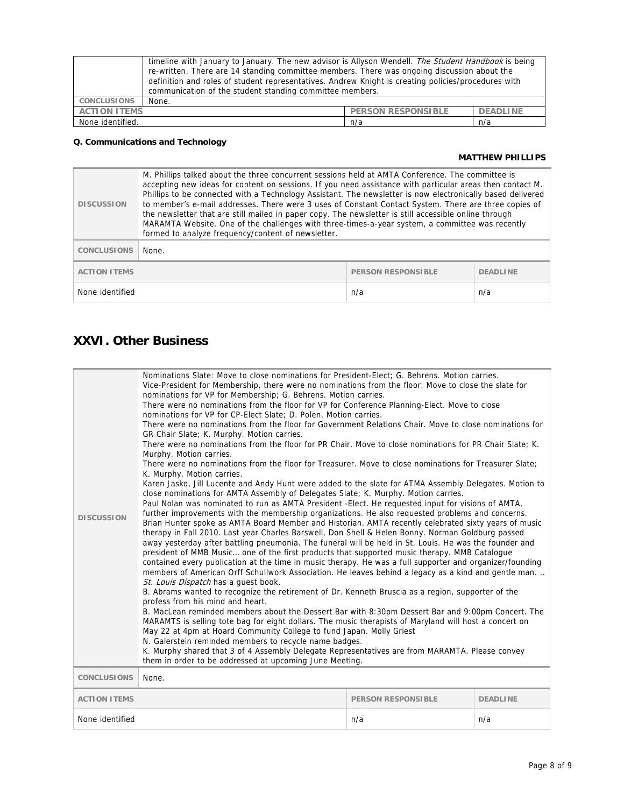|                     | timeline with January to January. The new advisor is Allyson Wendell. The Student Handbook is being<br>re-written. There are 14 standing committee members. There was ongoing discussion about the<br>definition and roles of student representatives. Andrew Knight is creating policies/procedures with |                           |                 |
|---------------------|-----------------------------------------------------------------------------------------------------------------------------------------------------------------------------------------------------------------------------------------------------------------------------------------------------------|---------------------------|-----------------|
|                     | communication of the student standing committee members.                                                                                                                                                                                                                                                  |                           |                 |
| <b>CONCLUSIONS</b>  | None.                                                                                                                                                                                                                                                                                                     |                           |                 |
| <b>ACTION ITEMS</b> |                                                                                                                                                                                                                                                                                                           | <b>PERSON RESPONSIBLE</b> | <b>DEADLINE</b> |
| None identified.    |                                                                                                                                                                                                                                                                                                           | n/a                       | n/a             |

## **Q. Communications and Technology**

## **MATTHEW PHILLIPS**

| <b>DISCUSSION</b>                                | M. Phillips talked about the three concurrent sessions held at AMTA Conference. The committee is<br>accepting new ideas for content on sessions. If you need assistance with particular areas then contact M.<br>Phillips to be connected with a Technology Assistant. The newsletter is now electronically based delivered<br>to member's e-mail addresses. There were 3 uses of Constant Contact System. There are three copies of<br>the newsletter that are still mailed in paper copy. The newsletter is still accessible online through<br>MARAMTA Website. One of the challenges with three-times-a-year system, a committee was recently<br>formed to analyze frequency/content of newsletter. |                 |     |
|--------------------------------------------------|--------------------------------------------------------------------------------------------------------------------------------------------------------------------------------------------------------------------------------------------------------------------------------------------------------------------------------------------------------------------------------------------------------------------------------------------------------------------------------------------------------------------------------------------------------------------------------------------------------------------------------------------------------------------------------------------------------|-----------------|-----|
| <b>CONCLUSIONS</b>                               | None.                                                                                                                                                                                                                                                                                                                                                                                                                                                                                                                                                                                                                                                                                                  |                 |     |
| <b>ACTION ITEMS</b><br><b>PERSON RESPONSIBLE</b> |                                                                                                                                                                                                                                                                                                                                                                                                                                                                                                                                                                                                                                                                                                        | <b>DEADLINE</b> |     |
| None identified                                  |                                                                                                                                                                                                                                                                                                                                                                                                                                                                                                                                                                                                                                                                                                        | n/a             | n/a |

# **XXVI. Other Business**

| <b>DISCUSSION</b>   | Nominations Slate: Move to close nominations for President-Elect; G. Behrens. Motion carries.<br>Vice-President for Membership, there were no nominations from the floor. Move to close the slate for<br>nominations for VP for Membership; G. Behrens. Motion carries.<br>There were no nominations from the floor for VP for Conference Planning-Elect. Move to close<br>nominations for VP for CP-Elect Slate; D. Polen. Motion carries.<br>There were no nominations from the floor for Government Relations Chair. Move to close nominations for<br>GR Chair Slate; K. Murphy. Motion carries.<br>There were no nominations from the floor for PR Chair. Move to close nominations for PR Chair Slate: K.<br>Murphy. Motion carries.<br>There were no nominations from the floor for Treasurer. Move to close nominations for Treasurer Slate:<br>K. Murphy. Motion carries.<br>Karen Jasko, Jill Lucente and Andy Hunt were added to the slate for ATMA Assembly Delegates. Motion to<br>close nominations for AMTA Assembly of Delegates Slate; K. Murphy. Motion carries.<br>Paul Nolan was nominated to run as AMTA President - Elect. He requested input for visions of AMTA,<br>further improvements with the membership organizations. He also requested problems and concerns.<br>Brian Hunter spoke as AMTA Board Member and Historian. AMTA recently celebrated sixty years of music<br>therapy in Fall 2010. Last year Charles Barswell, Don Shell & Helen Bonny. Norman Goldburg passed<br>away yesterday after battling pneumonia. The funeral will be held in St. Louis. He was the founder and<br>president of MMB Music one of the first products that supported music therapy. MMB Catalogue<br>contained every publication at the time in music therapy. He was a full supporter and organizer/founding<br>members of American Orff Schullwork Association. He leaves behind a legacy as a kind and gentle man<br>St. Louis Dispatch has a quest book.<br>B. Abrams wanted to recognize the retirement of Dr. Kenneth Bruscia as a region, supporter of the<br>profess from his mind and heart.<br>B. MacLean reminded members about the Dessert Bar with 8:30pm Dessert Bar and 9:00pm Concert. The<br>MARAMTS is selling tote bag for eight dollars. The music therapists of Maryland will host a concert on<br>May 22 at 4pm at Hoard Community College to fund Japan. Molly Griest<br>N. Galerstein reminded members to recycle name badges.<br>K. Murphy shared that 3 of 4 Assembly Delegate Representatives are from MARAMTA. Please convey<br>them in order to be addressed at upcoming June Meeting. |  |  |
|---------------------|--------------------------------------------------------------------------------------------------------------------------------------------------------------------------------------------------------------------------------------------------------------------------------------------------------------------------------------------------------------------------------------------------------------------------------------------------------------------------------------------------------------------------------------------------------------------------------------------------------------------------------------------------------------------------------------------------------------------------------------------------------------------------------------------------------------------------------------------------------------------------------------------------------------------------------------------------------------------------------------------------------------------------------------------------------------------------------------------------------------------------------------------------------------------------------------------------------------------------------------------------------------------------------------------------------------------------------------------------------------------------------------------------------------------------------------------------------------------------------------------------------------------------------------------------------------------------------------------------------------------------------------------------------------------------------------------------------------------------------------------------------------------------------------------------------------------------------------------------------------------------------------------------------------------------------------------------------------------------------------------------------------------------------------------------------------------------------------------------------------------------------------------------------------------------------------------------------------------------------------------------------------------------------------------------------------------------------------------------------------------------------------------------------------------------------------------------------------------------------------------------------------------------------------------------------------------------------------------------------------------------------------|--|--|
| <b>CONCLUSIONS</b>  | None.                                                                                                                                                                                                                                                                                                                                                                                                                                                                                                                                                                                                                                                                                                                                                                                                                                                                                                                                                                                                                                                                                                                                                                                                                                                                                                                                                                                                                                                                                                                                                                                                                                                                                                                                                                                                                                                                                                                                                                                                                                                                                                                                                                                                                                                                                                                                                                                                                                                                                                                                                                                                                                |  |  |
|                     |                                                                                                                                                                                                                                                                                                                                                                                                                                                                                                                                                                                                                                                                                                                                                                                                                                                                                                                                                                                                                                                                                                                                                                                                                                                                                                                                                                                                                                                                                                                                                                                                                                                                                                                                                                                                                                                                                                                                                                                                                                                                                                                                                                                                                                                                                                                                                                                                                                                                                                                                                                                                                                      |  |  |
| <b>ACTION ITEMS</b> | <b>PERSON RESPONSIBLE</b><br><b>DEADLINE</b>                                                                                                                                                                                                                                                                                                                                                                                                                                                                                                                                                                                                                                                                                                                                                                                                                                                                                                                                                                                                                                                                                                                                                                                                                                                                                                                                                                                                                                                                                                                                                                                                                                                                                                                                                                                                                                                                                                                                                                                                                                                                                                                                                                                                                                                                                                                                                                                                                                                                                                                                                                                         |  |  |
| None identified     | n/a<br>n/a                                                                                                                                                                                                                                                                                                                                                                                                                                                                                                                                                                                                                                                                                                                                                                                                                                                                                                                                                                                                                                                                                                                                                                                                                                                                                                                                                                                                                                                                                                                                                                                                                                                                                                                                                                                                                                                                                                                                                                                                                                                                                                                                                                                                                                                                                                                                                                                                                                                                                                                                                                                                                           |  |  |
|                     |                                                                                                                                                                                                                                                                                                                                                                                                                                                                                                                                                                                                                                                                                                                                                                                                                                                                                                                                                                                                                                                                                                                                                                                                                                                                                                                                                                                                                                                                                                                                                                                                                                                                                                                                                                                                                                                                                                                                                                                                                                                                                                                                                                                                                                                                                                                                                                                                                                                                                                                                                                                                                                      |  |  |